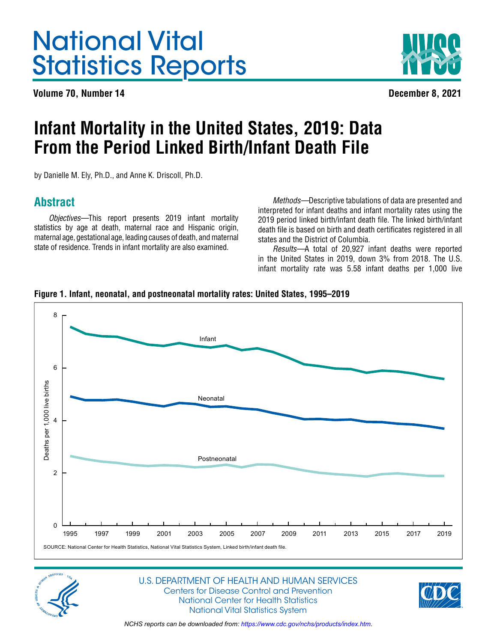# <span id="page-0-0"></span>National Vital Statistics Reports

**Volume 70, Number 14 December 8, 2021**



# **Infant Mortality in the United States, 2019: Data From the Period Linked Birth/Infant Death File**

by Danielle M. Ely, Ph.D., and Anne K. Driscoll, Ph.D.

# **Abstract**

*Objectives—*This report presents 2019 infant mortality statistics by age at death, maternal race and Hispanic origin, maternal age, gestational age, leading causes of death, and maternal state of residence. Trends in infant mortality are also examined.

*Methods—*Descriptive tabulations of data are presented and interpreted for infant deaths and infant mortality rates using the 2019 period linked birth/infant death file. The linked birth/infant death file is based on birth and death certificates registered in all states and the District of Columbia.

*Results—*A total of 20,927 infant deaths were reported in the United States in 2019, down 3% from 2018. The U.S. infant mortality rate was 5.58 infant deaths per 1,000 live







### U.S. DEPARTMENT OF HEALTH AND HUMAN SERVICES Centers for Disease Control and Prevention National Center for Health Statistics National Vital Statistics System

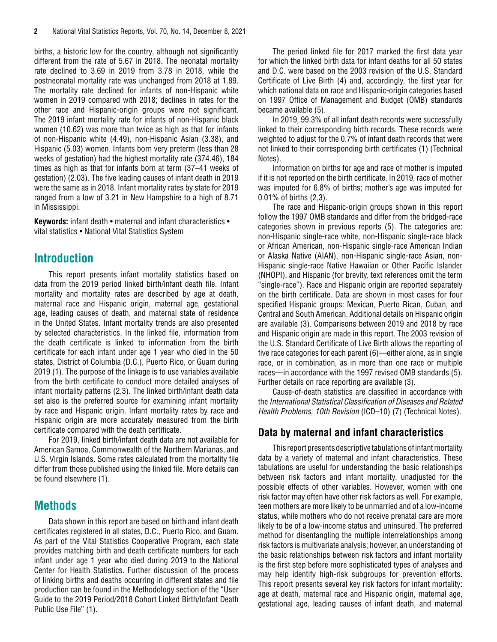<span id="page-1-0"></span>births, a historic low for the country, although not significantly different from the rate of 5.67 in 2018. The neonatal mortality rate declined to 3.69 in 2019 from 3.78 in 2018, while the postneonatal mortality rate was unchanged from 2018 at 1.89. The mortality rate declined for infants of non-Hispanic white women in 2019 compared with 2018; declines in rates for the other race and Hispanic-origin groups were not significant. The 2019 infant mortality rate for infants of non-Hispanic black women (10.62) was more than twice as high as that for infants of non-Hispanic white (4.49), non-Hispanic Asian (3.38), and Hispanic (5.03) women. Infants born very preterm (less than 28 weeks of gestation) had the highest mortality rate (374.46), 184 times as high as that for infants born at term (37–41 weeks of gestation) (2.03). The five leading causes of infant death in 2019 were the same as in 2018. Infant mortality rates by state for 2019 ranged from a low of 3.21 in New Hampshire to a high of 8.71 in Mississippi.

**Keywords:** infant death • maternal and infant characteristics • vital statistics • National Vital Statistics System

# **Introduction**

This report presents infant mortality statistics based on data from the 2019 period linked birth/infant death file. Infant mortality and mortality rates are described by age at death, maternal race and Hispanic origin, maternal age, gestational age, leading causes of death, and maternal state of residence in the United States. Infant mortality trends are also presented by selected characteristics. In the linked file, information from the death certificate is linked to information from the birth certificate for each infant under age 1 year who died in the 50 states, District of Columbia (D.C.), Puerto Rico, or Guam during 2019 (1). The purpose of the linkage is to use variables available from the birth certificate to conduct more detailed analyses of infant mortality patterns (2,3). The linked birth/infant death data set also is the preferred source for examining infant mortality by race and Hispanic origin. Infant mortality rates by race and Hispanic origin are more accurately measured from the birth certificate compared with the death certificate.

For 2019, linked birth/infant death data are not available for American Samoa, Commonwealth of the Northern Marianas, and U.S. Virgin Islands. Some rates calculated from the mortality file differ from those published using the linked file. More details can be found elsewhere (1).

# **Methods**

Data shown in this report are based on birth and infant death certificates registered in all states, D.C., Puerto Rico, and Guam. As part of the Vital Statistics Cooperative Program, each state provides matching birth and death certificate numbers for each infant under age 1 year who died during 2019 to the National Center for Health Statistics. Further discussion of the process of linking births and deaths occurring in different states and file production can be found in the Methodology section of the "User Guide to the 2019 Period/2018 Cohort Linked Birth/Infant Death Public Use File" (1).

The period linked file for 2017 marked the first data year for which the linked birth data for infant deaths for all 50 states and D.C. were based on the 2003 revision of the U.S. Standard Certificate of Live Birth (4) and, accordingly, the first year for which national data on race and Hispanic-origin categories based on 1997 Office of Management and Budget (OMB) standards became available (5).

In 2019, 99.3% of all infant death records were successfully linked to their corresponding birth records. These records were weighted to adjust for the 0.7% of infant death records that were not linked to their corresponding birth certificates (1) (Technical Notes).

Information on births for age and race of mother is imputed if it is not reported on the birth certificate. In 2019, race of mother was imputed for 6.8% of births; mother's age was imputed for 0.01% of births (2,3).

The race and Hispanic-origin groups shown in this report follow the 1997 OMB standards and differ from the bridged-race categories shown in previous reports (5). The categories are: non-Hispanic single-race white, non-Hispanic single-race black or African American, non-Hispanic single-race American Indian or Alaska Native (AIAN), non-Hispanic single-race Asian, non-Hispanic single-race Native Hawaiian or Other Pacific Islander (NHOPI), and Hispanic (for brevity, text references omit the term "single-race"). Race and Hispanic origin are reported separately on the birth certificate. Data are shown in most cases for four specified Hispanic groups: Mexican, Puerto Rican, Cuban, and Central and South American. Additional details on Hispanic origin are available (3). Comparisons between 2019 and 2018 by race and Hispanic origin are made in this report. The 2003 revision of the U.S. Standard Certificate of Live Birth allows the reporting of five race categories for each parent (6)—either alone, as in single race, or in combination, as in more than one race or multiple races—in accordance with the 1997 revised OMB standards (5). Further details on race reporting are available (3).

Cause-of-death statistics are classified in accordance with the *International Statistical Classification of Diseases and Related Health Problems*, *10th Revision* (ICD–10) (7) (Technical Notes).

# **Data by maternal and infant characteristics**

This report presents descriptive tabulations of infant mortality data by a variety of maternal and infant characteristics. These tabulations are useful for understanding the basic relationships between risk factors and infant mortality, unadjusted for the possible effects of other variables. However, women with one risk factor may often have other risk factors as well. For example, teen mothers are more likely to be unmarried and of a low-income status, while mothers who do not receive prenatal care are more likely to be of a low-income status and uninsured. The preferred method for disentangling the multiple interrelationships among risk factors is multivariate analysis; however, an understanding of the basic relationships between risk factors and infant mortality is the first step before more sophisticated types of analyses and may help identify high-risk subgroups for prevention efforts. This report presents several key risk factors for infant mortality: age at death, maternal race and Hispanic origin, maternal age, gestational age, leading causes of infant death, and maternal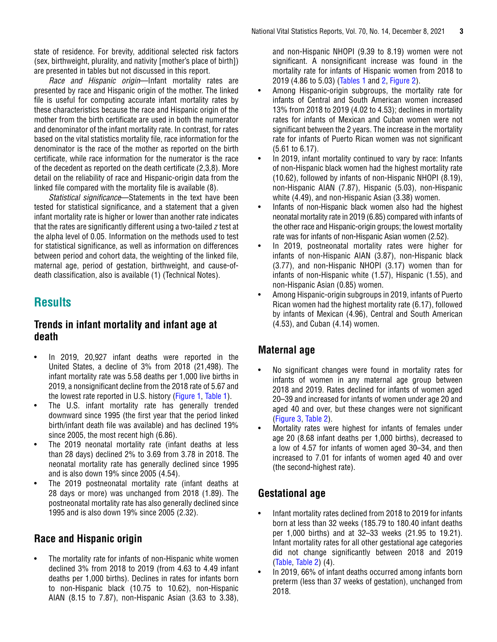<span id="page-2-0"></span>state of residence. For brevity, additional selected risk factors (sex, birthweight, plurality, and nativity [mother's place of birth]) are presented in tables but not discussed in this report.

*Race and Hispanic origin*—Infant mortality rates are presented by race and Hispanic origin of the mother. The linked file is useful for computing accurate infant mortality rates by these characteristics because the race and Hispanic origin of the mother from the birth certificate are used in both the numerator and denominator of the infant mortality rate. In contrast, for rates based on the vital statistics mortality file, race information for the denominator is the race of the mother as reported on the birth certificate, while race information for the numerator is the race of the decedent as reported on the death certificate (2,3,8). More detail on the reliability of race and Hispanic-origin data from the linked file compared with the mortality file is available (8).

*Statistical significance*—Statements in the text have been tested for statistical significance, and a statement that a given infant mortality rate is higher or lower than another rate indicates that the rates are significantly different using a two-tailed *z* test at the alpha level of 0.05. Information on the methods used to test for statistical significance, as well as information on differences between period and cohort data, the weighting of the linked file, maternal age, period of gestation, birthweight, and cause-ofdeath classification, also is available (1) (Technical Notes).

# **Results**

# **Trends in infant mortality and infant age at death**

- In 2019, 20,927 infant deaths were reported in the United States, a decline of 3% from 2018 (21,498). The infant mortality rate was 5.58 deaths per 1,000 live births in 2019, a nonsignificant decline from the 2018 rate of 5.67 and the lowest rate reported in U.S. history [\(Figure 1,](#page-0-0) [Table 1](#page-6-0)).
- The U.S. infant mortality rate has generally trended downward since 1995 (the first year that the period linked birth/infant death file was available) and has declined 19% since 2005, the most recent high (6.86).
- The 2019 neonatal mortality rate (infant deaths at less than 28 days) declined 2% to 3.69 from 3.78 in 2018. The neonatal mortality rate has generally declined since 1995 and is also down 19% since 2005 (4.54).
- The 2019 postneonatal mortality rate (infant deaths at 28 days or more) was unchanged from 2018 (1.89). The postneonatal mortality rate has also generally declined since 1995 and is also down 19% since 2005 (2.32).

# **Race and Hispanic origin**

The mortality rate for infants of non-Hispanic white women declined 3% from 2018 to 2019 (from 4.63 to 4.49 infant deaths per 1,000 births). Declines in rates for infants born to non-Hispanic black (10.75 to 10.62), non-Hispanic AIAN (8.15 to 7.87), non-Hispanic Asian (3.63 to 3.38),

and non-Hispanic NHOPI (9.39 to 8.19) women were not significant. A nonsignificant increase was found in the mortality rate for infants of Hispanic women from 2018 to 2019 (4.86 to 5.03) [\(Tables 1](#page-6-0) and [2,](#page-8-0) [Figure 2\)](#page-3-0).

- Among Hispanic-origin subgroups, the mortality rate for infants of Central and South American women increased 13% from 2018 to 2019 (4.02 to 4.53); declines in mortality rates for infants of Mexican and Cuban women were not significant between the 2 years. The increase in the mortality rate for infants of Puerto Rican women was not significant (5.61 to 6.17).
- In 2019, infant mortality continued to vary by race: Infants of non-Hispanic black women had the highest mortality rate (10.62), followed by infants of non-Hispanic NHOPI (8.19), non-Hispanic AIAN (7.87), Hispanic (5.03), non-Hispanic white (4.49), and non-Hispanic Asian (3.38) women.
- Infants of non-Hispanic black women also had the highest neonatal mortality rate in 2019 (6.85) compared with infants of the other race and Hispanic-origin groups; the lowest mortality rate was for infants of non-Hispanic Asian women (2.52).
- In 2019, postneonatal mortality rates were higher for infants of non-Hispanic AIAN (3.87), non-Hispanic black (3.77), and non-Hispanic NHOPI (3.17) women than for infants of non-Hispanic white (1.57), Hispanic (1.55), and non-Hispanic Asian (0.85) women.
- Among Hispanic-origin subgroups in 2019, infants of Puerto Rican women had the highest mortality rate (6.17), followed by infants of Mexican (4.96), Central and South American (4.53), and Cuban (4.14) women.

# **Maternal age**

- No significant changes were found in mortality rates for infants of women in any maternal age group between 2018 and 2019. Rates declined for infants of women aged 20–39 and increased for infants of women under age 20 and aged 40 and over, but these changes were not significant [\(Figure 3,](#page-3-0) [Table 2\).](#page-8-0)
- Mortality rates were highest for infants of females under age 20 (8.68 infant deaths per 1,000 births), decreased to a low of 4.57 for infants of women aged 30–34, and then increased to 7.01 for infants of women aged 40 and over (the second-highest rate).

# **Gestational age**

- Infant mortality rates declined from 2018 to 2019 for infants born at less than 32 weeks (185.79 to 180.40 infant deaths per 1,000 births) and at 32–33 weeks (21.95 to 19.21). Infant mortality rates for all other gestational age categories did not change significantly between 2018 and 2019 [\(Table,](#page-4-0) [Table 2\)](#page-8-0) (4).
- In 2019, 66% of infant deaths occurred among infants born preterm (less than 37 weeks of gestation), unchanged from 2018.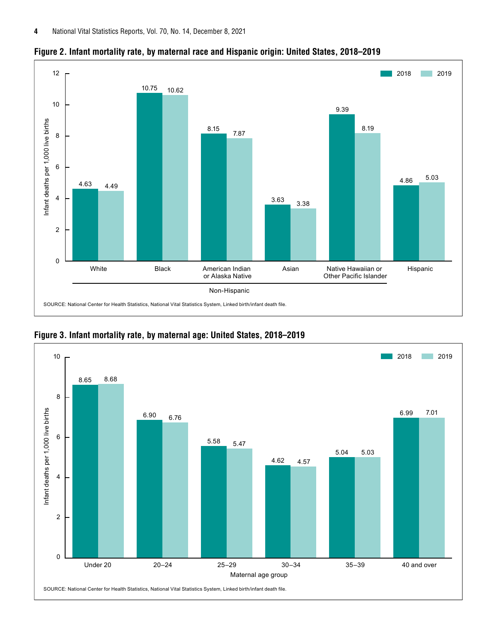

<span id="page-3-0"></span>**Figure 2. Infant mortality rate, by maternal race and Hispanic origin: United States, 2018–2019**



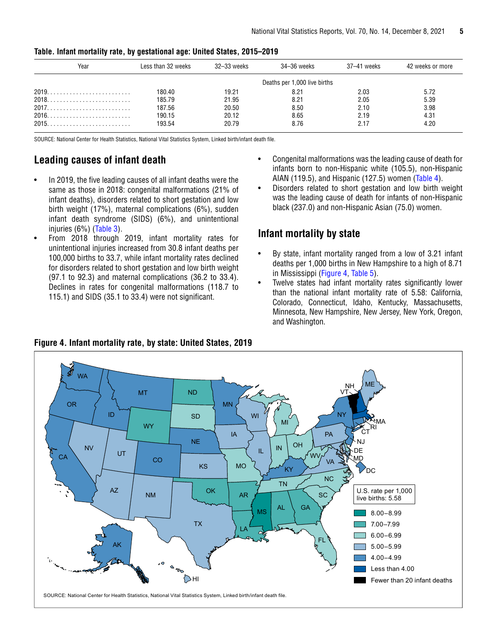| Year | Less than 32 weeks | 32–33 weeks | 34–36 weeks                  | 37-41 weeks | 42 weeks or more |
|------|--------------------|-------------|------------------------------|-------------|------------------|
|      |                    |             | Deaths per 1,000 live births |             |                  |
|      | 180.40             | 19.21       | 8.21                         | 2.03        | 5.72             |
|      | 185.79             | 21.95       | 8.21                         | 2.05        | 5.39             |
|      | 187.56             | 20.50       | 8.50                         | 2.10        | 3.98             |
|      | 190.15             | 20.12       | 8.65                         | 2.19        | 4.31             |
|      | 193.54             | 20.79       | 8.76                         | 2.17        | 4.20             |

#### <span id="page-4-0"></span>**Table. Infant mortality rate, by gestational age: United States, 2015–2019**

SOURCE: National Center for Health Statistics, National Vital Statistics System, Linked birth/infant death file.

# **Leading causes of infant death**

- In 2019, the five leading causes of all infant deaths were the same as those in 2018: congenital malformations (21% of infant deaths), disorders related to short gestation and low birth weight (17%), maternal complications (6%), sudden infant death syndrome (SIDS) (6%), and unintentional injuries (6%) ([Table 3\)](#page-12-0).
- From 2018 through 2019, infant mortality rates for unintentional injuries increased from 30.8 infant deaths per 100,000 births to 33.7, while infant mortality rates declined for disorders related to short gestation and low birth weight (97.1 to 92.3) and maternal complications (36.2 to 33.4). Declines in rates for congenital malformations (118.7 to 115.1) and SIDS (35.1 to 33.4) were not significant.
- Congenital malformations was the leading cause of death for infants born to non-Hispanic white (105.5), non-Hispanic AIAN (119.5), and Hispanic (127.5) women ([Table 4\)](#page-13-0).
- Disorders related to short gestation and low birth weight was the leading cause of death for infants of non-Hispanic black (237.0) and non-Hispanic Asian (75.0) women.

# **Infant mortality by state**

- By state, infant mortality ranged from a low of 3.21 infant deaths per 1,000 births in New Hampshire to a high of 8.71 in Mississippi (Figure 4, [Table 5\)](#page-14-0).
- Twelve states had infant mortality rates significantly lower than the national infant mortality rate of 5.58: California, Colorado, Connecticut, Idaho, Kentucky, Massachusetts, Minnesota, New Hampshire, New Jersey, New York, Oregon, and Washington.

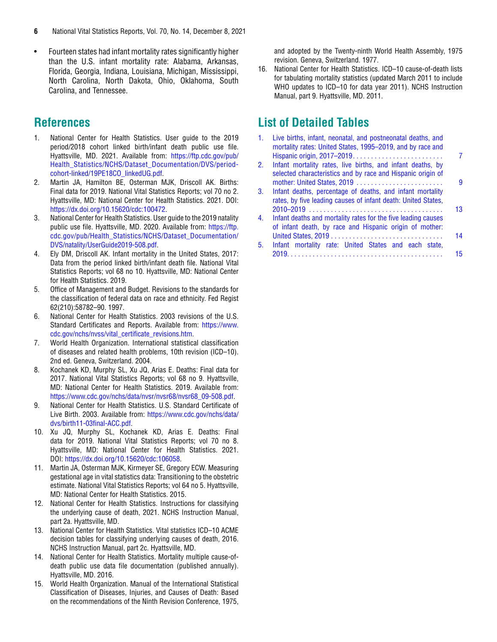- <span id="page-5-0"></span>**6** National Vital Statistics Reports, Vol. 70, No. 14, December 8, 2021
- Fourteen states had infant mortality rates significantly higher than the U.S. infant mortality rate: Alabama, Arkansas, Florida, Georgia, Indiana, Louisiana, Michigan, Mississippi, North Carolina, North Dakota, Ohio, Oklahoma, South Carolina, and Tennessee.

# **References**

- 1. National Center for Health Statistics. User guide to the 2019 period/2018 cohort linked birth/infant death public use file. Hyattsville, MD. 2021. Available from: [https://ftp.cdc.gov/pub/](https://ftp.cdc.gov/pub/Health_Statistics/NCHS/Dataset_Documentation/DVS/period-cohort-linked/19PE18CO_linkedUG.pdf) [Health\\_Statistics/NCHS/Dataset\\_Documentation/DVS/period](https://ftp.cdc.gov/pub/Health_Statistics/NCHS/Dataset_Documentation/DVS/period-cohort-linked/19PE18CO_linkedUG.pdf)[cohort-linked/19PE18CO\\_linkedUG.pdf.](https://ftp.cdc.gov/pub/Health_Statistics/NCHS/Dataset_Documentation/DVS/period-cohort-linked/19PE18CO_linkedUG.pdf)
- 2. Martin JA, Hamilton BE, Osterman MJK, Driscoll AK. Births: Final data for 2019. National Vital Statistics Reports; vol 70 no 2. Hyattsville, MD: National Center for Health Statistics. 2021. DOI: [https://dx.doi.org/10.15620/cdc:100472.](https://dx.doi.org/10.15620/cdc:100472)
- 3. National Center for Health Statistics. User guide to the 2019 natality public use file. Hyattsville, MD. 2020. Available from: [https://ftp.](https://ftp.cdc.gov/pub/Health_Statistics/NCHS/Dataset_Documentation/DVS/natality/UserGuide2019-508.pdf) [cdc.gov/pub/Health\\_Statistics/NCHS/Dataset\\_Documentation/](https://ftp.cdc.gov/pub/Health_Statistics/NCHS/Dataset_Documentation/DVS/natality/UserGuide2019-508.pdf) [DVS/natality/UserGuide2019-508.pdf](https://ftp.cdc.gov/pub/Health_Statistics/NCHS/Dataset_Documentation/DVS/natality/UserGuide2019-508.pdf).
- 4. Ely DM, Driscoll AK. Infant mortality in the United States, 2017: Data from the period linked birth/infant death file. National Vital Statistics Reports; vol 68 no 10. Hyattsville, MD: National Center for Health Statistics. 2019.
- 5. Office of Management and Budget. Revisions to the standards for the classification of federal data on race and ethnicity. Fed Regist 62(210):58782–90. 1997.
- 6. National Center for Health Statistics. 2003 revisions of the U.S. Standard Certificates and Reports. Available from: [https://www.](https://www.cdc.gov/nchs/nvss/vital_certificate_revisions.htm) [cdc.gov/nchs/nvss/vital\\_certificate\\_revisions.htm.](https://www.cdc.gov/nchs/nvss/vital_certificate_revisions.htm)
- 7. World Health Organization. International statistical classification of diseases and related health problems, 10th revision (ICD–10). 2nd ed. Geneva, Switzerland. 2004.
- 8. Kochanek KD, Murphy SL, Xu JQ, Arias E. Deaths: Final data for 2017. National Vital Statistics Reports; vol 68 no 9. Hyattsville, MD: National Center for Health Statistics. 2019. Available from: [https://www.cdc.gov/nchs/data/nvsr/nvsr68/nvsr68\\_09-508.pdf.](https://www.cdc.gov/nchs/data/nvsr/nvsr68/nvsr68_09-508.pdf)
- 9. National Center for Health Statistics. U.S. Standard Certificate of Live Birth. 2003. Available from: [https://www.cdc.gov/nchs/data/](https://www.cdc.gov/nchs/data/dvs/birth11-03final-ACC.pdf) [dvs/birth11-03final-ACC.pdf](https://www.cdc.gov/nchs/data/dvs/birth11-03final-ACC.pdf).
- 10. Xu JQ, Murphy SL, Kochanek KD, Arias E. Deaths: Final data for 2019. National Vital Statistics Reports; vol 70 no 8. Hyattsville, MD: National Center for Health Statistics. 2021. DOI: [https://dx.doi.org/10.15620/cdc:106058.](https://dx.doi.org/10.15620/cdc:106058)
- 11. Martin JA, Osterman MJK, Kirmeyer SE, Gregory ECW. Measuring gestational age in vital statistics data: Transitioning to the obstetric estimate. National Vital Statistics Reports; vol 64 no 5. Hyattsville, MD: National Center for Health Statistics. 2015.
- 12. National Center for Health Statistics. Instructions for classifying the underlying cause of death, 2021. NCHS Instruction Manual, part 2a. Hyattsville, MD.
- 13. National Center for Health Statistics. Vital statistics ICD–10 ACME decision tables for classifying underlying causes of death, 2016. NCHS Instruction Manual, part 2c. Hyattsville, MD.
- 14. National Center for Health Statistics. Mortality multiple cause-ofdeath public use data file documentation (published annually). Hyattsville, MD. 2016.
- 15. World Health Organization. Manual of the International Statistical Classification of Diseases, Injuries, and Causes of Death: Based on the recommendations of the Ninth Revision Conference, 1975,

and adopted by the Twenty-ninth World Health Assembly, 1975 revision. Geneva, Switzerland. 1977.

16. National Center for Health Statistics. ICD–10 cause-of-death lists for tabulating mortality statistics (updated March 2011 to include WHO updates to ICD-10 for data year 2011). NCHS Instruction Manual, part 9. Hyattsville, MD. 2011.

# **List of Detailed Tables**

| 1.               | Live births, infant, neonatal, and postneonatal deaths, and<br>mortality rates: United States, 1995-2019, and by race and |    |
|------------------|---------------------------------------------------------------------------------------------------------------------------|----|
|                  |                                                                                                                           |    |
| $2^{1}$          | Infant mortality rates, live births, and infant deaths, by                                                                |    |
|                  | selected characteristics and by race and Hispanic origin of<br>mother: United States, 2019                                | 9  |
| 3.               | Infant deaths, percentage of deaths, and infant mortality                                                                 |    |
|                  | rates, by five leading causes of infant death: United States,                                                             | 13 |
| $\overline{4}$ . | Infant deaths and mortality rates for the five leading causes                                                             |    |
|                  | of infant death, by race and Hispanic origin of mother:                                                                   | 14 |
| 5.               | Infant mortality rate: United States and each state,                                                                      |    |
|                  |                                                                                                                           | 15 |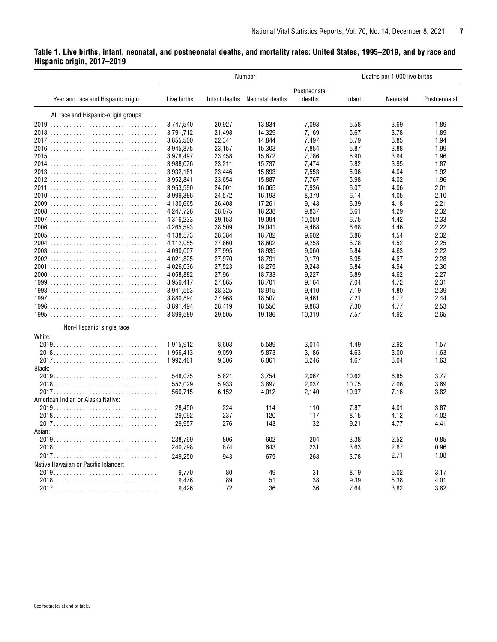# <span id="page-6-0"></span>**Table 1. Live births, infant, neonatal, and postneonatal deaths, and mortality rates: United States, 1995–2019, and by race and Hispanic origin, 2017–2019**

|                                      |             |               | Number          |                        |        | Deaths per 1,000 live births |              |
|--------------------------------------|-------------|---------------|-----------------|------------------------|--------|------------------------------|--------------|
| Year and race and Hispanic origin    | Live births | Infant deaths | Neonatal deaths | Postneonatal<br>deaths | Infant | Neonatal                     | Postneonatal |
| All race and Hispanic-origin groups  |             |               |                 |                        |        |                              |              |
|                                      | 3,747,540   | 20,927        | 13,834          | 7,093                  | 5.58   | 3.69                         | 1.89         |
|                                      | 3,791,712   | 21,498        | 14,329          | 7,169                  | 5.67   | 3.78                         | 1.89         |
|                                      | 3,855,500   | 22,341        | 14,844          | 7,497                  | 5.79   | 3.85                         | 1.94         |
|                                      | 3,945,875   | 23,157        | 15,303          | 7,854                  | 5.87   | 3.88                         | 1.99         |
|                                      | 3,978,497   | 23,458        | 15,672          | 7,786                  | 5.90   | 3.94                         | 1.96         |
|                                      | 3,988,076   | 23,211        | 15,737          | 7,474                  | 5.82   | 3.95                         | 1.87         |
|                                      | 3,932,181   | 23,446        | 15,893          | 7,553                  | 5.96   | 4.04                         | 1.92         |
|                                      | 3,952,841   | 23,654        | 15,887          | 7,767                  | 5.98   | 4.02                         | 1.96         |
|                                      | 3,953,590   | 24,001        | 16,065          | 7,936                  | 6.07   | 4.06                         | 2.01         |
|                                      | 3,999,386   | 24,572        | 16,193          | 8,379                  | 6.14   | 4.05                         | 2.10         |
|                                      | 4,130,665   | 26,408        | 17,261          | 9,148                  | 6.39   | 4.18                         | 2.21         |
|                                      |             |               |                 |                        |        |                              |              |
|                                      | 4,247,726   | 28,075        | 18,238          | 9,837                  | 6.61   | 4.29                         | 2.32         |
|                                      | 4,316,233   | 29,153        | 19,094          | 10,059                 | 6.75   | 4.42                         | 2.33         |
|                                      | 4,265,593   | 28,509        | 19,041          | 9,468                  | 6.68   | 4.46                         | 2.22         |
|                                      | 4,138,573   | 28,384        | 18,782          | 9,602                  | 6.86   | 4.54                         | 2.32         |
|                                      | 4,112,055   | 27,860        | 18,602          | 9,258                  | 6.78   | 4.52                         | 2.25         |
|                                      | 4,090,007   | 27,995        | 18,935          | 9,060                  | 6.84   | 4.63                         | 2.22         |
|                                      | 4,021,825   | 27,970        | 18,791          | 9,179                  | 6.95   | 4.67                         | 2.28         |
|                                      | 4,026,036   | 27,523        | 18,275          | 9,248                  | 6.84   | 4.54                         | 2.30         |
|                                      | 4,058,882   | 27,961        | 18,733          | 9,227                  | 6.89   | 4.62                         | 2.27         |
|                                      | 3,959,417   | 27,865        | 18,701          | 9,164                  | 7.04   | 4.72                         | 2.31         |
|                                      | 3,941,553   | 28,325        | 18,915          | 9,410                  | 7.19   | 4.80                         | 2.39         |
|                                      | 3,880,894   | 27,968        | 18,507          | 9,461                  | 7.21   | 4.77                         | 2.44         |
|                                      | 3,891,494   | 28,419        | 18,556          | 9,863                  | 7.30   | 4.77                         | 2.53         |
|                                      | 3,899,589   | 29,505        | 19,186          | 10,319                 | 7.57   | 4.92                         | 2.65         |
| Non-Hispanic, single race            |             |               |                 |                        |        |                              |              |
| White:                               |             |               |                 |                        |        |                              |              |
|                                      | 1,915,912   | 8,603         | 5,589           | 3,014                  | 4.49   | 2.92                         | 1.57         |
|                                      | 1,956,413   | 9,059         | 5,873           | 3,186                  | 4.63   | 3.00                         | 1.63         |
|                                      | 1,992,461   | 9,306         | 6,061           | 3,246                  | 4.67   | 3.04                         | 1.63         |
| Black:                               |             |               |                 |                        |        |                              |              |
|                                      | 548,075     | 5,821         | 3,754           | 2,067                  | 10.62  | 6.85                         | 3.77         |
|                                      | 552,029     | 5,933         | 3,897           | 2,037                  | 10.75  | 7.06                         | 3.69         |
|                                      | 560,715     | 6,152         | 4,012           | 2,140                  | 10.97  | 7.16                         | 3.82         |
| American Indian or Alaska Native:    |             |               |                 |                        |        |                              |              |
|                                      | 28,450      | 224           | 114             | 110                    | 7.87   | 4.01                         | 3.87         |
|                                      | 29,092      | 237           | 120             | 117                    | 8.15   | 4.12                         | 4.02         |
|                                      |             | 276           |                 | 132                    | 9.21   |                              |              |
|                                      | 29,957      |               | 143             |                        |        | 4.77                         | 4.41         |
| Asian:                               |             |               |                 |                        |        |                              |              |
|                                      | 238,769     | 806           | 602             | 204                    | 3.38   | 2.52                         | 0.85         |
|                                      | 240,798     | 874           | 643             | 231                    | 3.63   | 2.67                         | 0.96         |
|                                      | 249,250     | 943           | 675             | 268                    | 3.78   | 2.71                         | 1.08         |
| Native Hawaiian or Pacific Islander: |             |               |                 |                        |        |                              |              |
|                                      | 9,770       | 80            | 49              | 31                     | 8.19   | 5.02                         | 3.17         |
|                                      | 9,476       | 89            | 51              | 38                     | 9.39   | 5.38                         | 4.01         |
|                                      | 9,426       | 72            | 36              | 36                     | 7.64   | 3.82                         | 3.82         |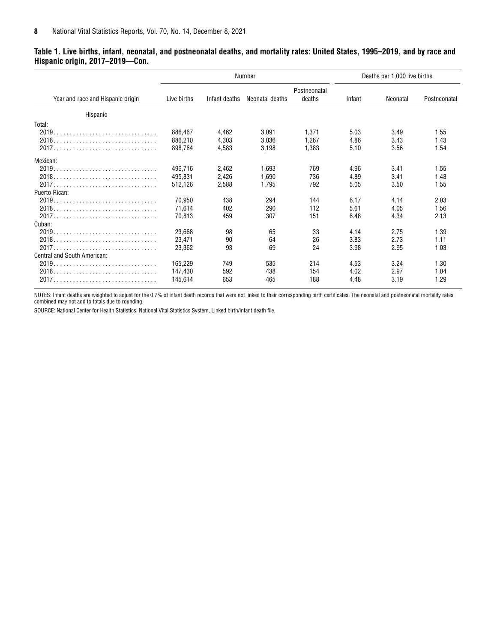#### **Table 1. Live births, infant, neonatal, and postneonatal deaths, and mortality rates: United States, 1995–2019, and by race and Hispanic origin, 2017–2019—Con.**

|                                   |                               |                         | Number                  |                         |                      | Deaths per 1,000 live births |                      |
|-----------------------------------|-------------------------------|-------------------------|-------------------------|-------------------------|----------------------|------------------------------|----------------------|
| Year and race and Hispanic origin | Live births                   | Infant deaths           | Neonatal deaths         | Postneonatal<br>deaths  | Infant               | Neonatal                     | Postneonatal         |
| Hispanic                          |                               |                         |                         |                         |                      |                              |                      |
| Total:                            |                               |                         |                         |                         |                      |                              |                      |
|                                   | 886,467<br>886,210<br>898,764 | 4,462<br>4.303<br>4,583 | 3.091<br>3.036<br>3,198 | 1.371<br>1.267<br>1,383 | 5.03<br>4.86<br>5.10 | 3.49<br>3.43<br>3.56         | 1.55<br>1.43<br>1.54 |
| Mexican:                          |                               |                         |                         |                         |                      |                              |                      |
|                                   | 496.716<br>495,831<br>512.126 | 2,462<br>2,426          | 1,693<br>1,690          | 769<br>736<br>792       | 4.96<br>4.89         | 3.41<br>3.41                 | 1.55<br>1.48<br>1.55 |
| Puerto Rican:                     |                               | 2,588                   | 1,795                   |                         | 5.05                 | 3.50                         |                      |
|                                   | 70.950<br>71,614<br>70.813    | 438<br>402<br>459       | 294<br>290<br>307       | 144<br>112<br>151       | 6.17<br>5.61<br>6.48 | 4.14<br>4.05<br>4.34         | 2.03<br>1.56<br>2.13 |
| Cuban:                            |                               |                         |                         |                         |                      |                              |                      |
|                                   | 23,668<br>23,471<br>23,362    | 98<br>90<br>93          | 65<br>64<br>69          | 33<br>26<br>24          | 4.14<br>3.83<br>3.98 | 2.75<br>2.73<br>2.95         | 1.39<br>1.11<br>1.03 |
| Central and South American:       |                               |                         |                         |                         |                      |                              |                      |
|                                   | 165.229<br>147,430<br>145,614 | 749<br>592<br>653       | 535<br>438<br>465       | 214<br>154<br>188       | 4.53<br>4.02<br>4.48 | 3.24<br>2.97<br>3.19         | 1.30<br>1.04<br>1.29 |

NOTES: Infant deaths are weighted to adjust for the 0.7% of infant death records that were not linked to their corresponding birth certificates. The neonatal and postneonatal mortality rates combined may not add to totals due to rounding.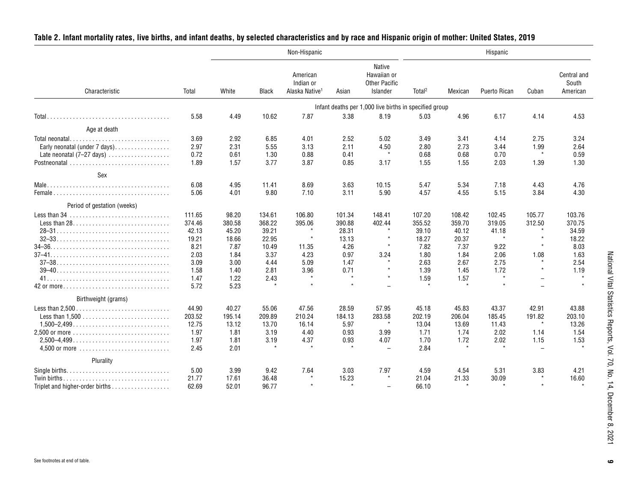|                                                                               |        |        |              | Non-Hispanic                                        |         |                                                           |                    |         | Hispanic     |                          |                                  |
|-------------------------------------------------------------------------------|--------|--------|--------------|-----------------------------------------------------|---------|-----------------------------------------------------------|--------------------|---------|--------------|--------------------------|----------------------------------|
| Characteristic                                                                | Total  | White  | <b>Black</b> | American<br>Indian or<br>Alaska Native <sup>1</sup> | Asian   | Native<br>Hawaiian or<br><b>Other Pacific</b><br>Islander | Total <sup>2</sup> | Mexican | Puerto Rican | Cuban                    | Central and<br>South<br>American |
|                                                                               |        |        |              |                                                     |         | Infant deaths per 1,000 live births in specified group    |                    |         |              |                          |                                  |
|                                                                               | 5.58   | 4.49   | 10.62        | 7.87                                                | 3.38    | 8.19                                                      | 5.03               | 4.96    | 6.17         | 4.14                     | 4.53                             |
| Age at death                                                                  |        |        |              |                                                     |         |                                                           |                    |         |              |                          |                                  |
| Total neonatal                                                                | 3.69   | 2.92   | 6.85         | 4.01                                                | 2.52    | 5.02                                                      | 3.49               | 3.41    | 4.14         | 2.75                     | 3.24                             |
| Early neonatal (under 7 days).                                                | 2.97   | 2.31   | 5.55         | 3.13                                                | 2.11    | 4.50                                                      | 2.80               | 2.73    | 3.44         | 1.99                     | 2.64                             |
| Late neonatal $(7-27 \text{ days})$                                           | 0.72   | 0.61   | 1.30         | 0.88                                                | 0.41    | $\star$                                                   | 0.68               | 0.68    | 0.70         | $\star$                  | 0.59                             |
| Postneonatal $\ldots, \ldots, \ldots, \ldots, \ldots, \ldots, \ldots, \ldots$ | 1.89   | 1.57   | 3.77         | 3.87                                                | 0.85    | 3.17                                                      | 1.55               | 1.55    | 2.03         | 1.39                     | 1.30                             |
| Sex                                                                           |        |        |              |                                                     |         |                                                           |                    |         |              |                          |                                  |
|                                                                               | 6.08   | 4.95   | 11.41        | 8.69                                                | 3.63    | 10.15                                                     | 5.47               | 5.34    | 7.18         | 4.43                     | 4.76                             |
|                                                                               | 5.06   | 4.01   | 9.80         | 7.10                                                | 3.11    | 5.90                                                      | 4.57               | 4.55    | 5.15         | 3.84                     | 4.30                             |
| Period of gestation (weeks)                                                   |        |        |              |                                                     |         |                                                           |                    |         |              |                          |                                  |
|                                                                               | 111.65 | 98.20  | 134.61       | 106.80                                              | 101.34  | 148.41                                                    | 107.20             | 108.42  | 102.45       | 105.77                   | 103.76                           |
|                                                                               | 374.46 | 380.58 | 368.22       | 395.06                                              | 390.88  | 402.44                                                    | 355.52             | 359.70  | 319.05       | 312.50                   | 370.75                           |
|                                                                               | 42.13  | 45.20  | 39.21        |                                                     | 28.31   | $\star$                                                   | 39.10              | 40.12   | 41.18        |                          | 34.59                            |
|                                                                               | 19.21  | 18.66  | 22.95        | $\star$                                             | 13.13   | $\star$                                                   | 18.27              | 20.37   | $\star$      | $\star$                  | 18.22                            |
|                                                                               | 8.21   | 7.87   | 10.49        | 11.35                                               | 4.26    |                                                           | 7.82               | 7.37    | 9.22         |                          | 8.03                             |
|                                                                               | 2.03   | 1.84   | 3.37         | 4.23                                                | 0.97    | 3.24                                                      | 1.80               | 1.84    | 2.06         | 1.08                     | 1.63                             |
|                                                                               | 3.09   | 3.00   | 4.44         | 5.09                                                | 1.47    | $\star$                                                   | 2.63               | 2.67    | 2.75         | $\star$                  | 2.54                             |
|                                                                               | 1.58   | 1.40   | 2.81         | 3.96                                                | 0.71    | $\star$                                                   | 1.39               | 1.45    | 1.72         | $\star$                  | 1.19                             |
|                                                                               | 1.47   | 1.22   | 2.43         | $\star$                                             | $\star$ | $\star$                                                   | 1.59               | 1.57    |              | $\overline{\phantom{0}}$ | $\star$                          |
| 42 or more                                                                    | 5.72   | 5.23   |              |                                                     | $\star$ | $\overline{a}$                                            |                    | $\star$ |              |                          | $\ddot{\phantom{a}}$             |
| Birthweight (grams)                                                           |        |        |              |                                                     |         |                                                           |                    |         |              |                          |                                  |
|                                                                               | 44.90  | 40.27  | 55.06        | 47.56                                               | 28.59   | 57.95                                                     | 45.18              | 45.83   | 43.37        | 42.91                    | 43.88                            |
|                                                                               | 203.52 | 195.14 | 209.89       | 210.24                                              | 184.13  | 283.58                                                    | 202.19             | 206.04  | 185.45       | 191.82                   | 203.10                           |
|                                                                               | 12.75  | 13.12  | 13.70        | 16.14                                               | 5.97    | $\star$                                                   | 13.04              | 13.69   | 11.43        | $\star$                  | 13.26                            |
|                                                                               | 1.97   | 1.81   | 3.19         | 4.40                                                | 0.93    | 3.99                                                      | 1.71               | 1.74    | 2.02         | 1.14                     | 1.54                             |
| $2.500 - 4.499$                                                               | 1.97   | 1.81   | 3.19         | 4.37                                                | 0.93    | 4.07                                                      | 1.70               | 1.72    | 2.02         | 1.15                     | 1.53                             |
|                                                                               | 2.45   | 2.01   |              | $\star$                                             | $\star$ | $\overline{\phantom{0}}$                                  | 2.84               | $\star$ |              | $\equiv$                 |                                  |
| Plurality                                                                     |        |        |              |                                                     |         |                                                           |                    |         |              |                          |                                  |
|                                                                               | 5.00   | 3.99   | 9.42         | 7.64                                                | 3.03    | 7.97                                                      | 4.59               | 4.54    | 5.31         | 3.83                     | 4.21                             |
| Twin births                                                                   | 21.77  | 17.61  | 36.48        | $\star$                                             | 15.23   | $\star$                                                   | 21.04              | 21.33   | 30.09        |                          | 16.60                            |
| Triplet and higher-order births                                               | 62.69  | 52.01  | 96.77        |                                                     | $\star$ | $\overline{a}$                                            | 66.10              |         |              |                          |                                  |

# <span id="page-8-0"></span>**Table 2. Infant mortality rates, live births, and infant deaths, by selected characteristics and by race and Hispanic origin of mother: United States, 2019**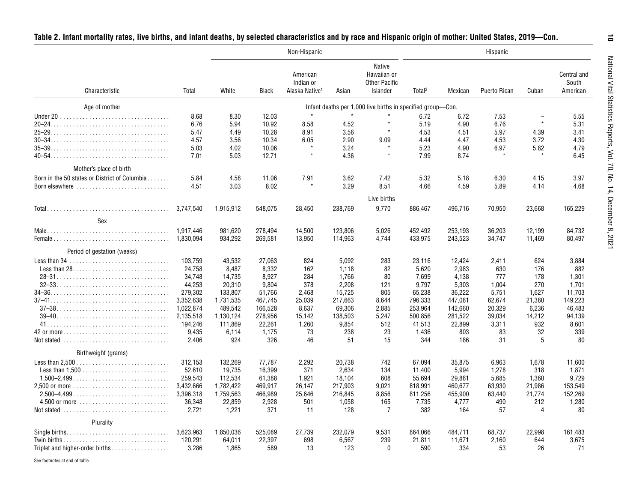|                                                                                    |           |           |              | Non-Hispanic                                        |         |                                                                  |                    |         | Hispanic     |                          |                                  |
|------------------------------------------------------------------------------------|-----------|-----------|--------------|-----------------------------------------------------|---------|------------------------------------------------------------------|--------------------|---------|--------------|--------------------------|----------------------------------|
| Characteristic                                                                     | Total     | White     | <b>Black</b> | American<br>Indian or<br>Alaska Native <sup>1</sup> | Asian   | <b>Native</b><br>Hawaiian or<br><b>Other Pacific</b><br>Islander | Total <sup>2</sup> | Mexican | Puerto Rican | Cuban                    | Central and<br>South<br>American |
| Age of mother                                                                      |           |           |              |                                                     |         | Infant deaths per 1,000 live births in specified group-Con.      |                    |         |              |                          |                                  |
|                                                                                    | 8.68      | 8.30      | 12.03        | $\star$                                             |         |                                                                  | 6.72               | 6.72    | 7.53         | $\overline{\phantom{0}}$ | 5.55                             |
|                                                                                    | 6.76      | 5.94      | 10.92        | 8.58                                                | 4.52    | $\star$                                                          | 5.19               | 4.90    | 6.76         | $\star$                  | 5.31                             |
|                                                                                    | 5.47      | 4.49      | 10.28        | 8.91                                                | 3.56    | $\star$                                                          | 4.53               | 4.51    | 5.97         | 4.39                     | 3.41                             |
|                                                                                    | 4.57      | 3.56      | 10.34        | 6.05                                                | 2.90    | 9.09                                                             | 4.44               | 4.47    | 4.53         | 3.72                     | 4.30                             |
|                                                                                    | 5.03      | 4.02      | 10.06        |                                                     | 3.24    |                                                                  | 5.23               | 4.90    | 6.97         | 5.82                     | 4.79                             |
|                                                                                    | 7.01      | 5.03      | 12.71        | $\star$                                             | 4.36    | $\star$                                                          | 7.99               | 8.74    |              |                          | 6.45                             |
| Mother's place of birth                                                            |           |           |              |                                                     |         |                                                                  |                    |         |              |                          |                                  |
|                                                                                    |           |           |              |                                                     |         |                                                                  |                    |         |              |                          |                                  |
| Born in the 50 states or District of Columbia                                      | 5.84      | 4.58      | 11.06        | 7.91                                                | 3.62    | 7.42                                                             | 5.32               | 5.18    | 6.30         | 4.15                     | 3.97                             |
| Born elsewhere                                                                     | 4.51      | 3.03      | 8.02         |                                                     | 3.29    | 8.51                                                             | 4.66               | 4.59    | 5.89         | 4.14                     | 4.68                             |
|                                                                                    |           |           |              |                                                     |         | Live births                                                      |                    |         |              |                          |                                  |
|                                                                                    | 3,747,540 | 1,915,912 | 548,075      | 28,450                                              | 238,769 | 9,770                                                            | 886,467            | 496,716 | 70,950       | 23,668                   | 165,229                          |
| Sex                                                                                |           |           |              |                                                     |         |                                                                  |                    |         |              |                          |                                  |
|                                                                                    |           |           |              |                                                     |         |                                                                  |                    |         |              |                          |                                  |
|                                                                                    |           | 981,620   | 278,494      | 14,500                                              | 123,806 | 5,026                                                            | 452,492            | 253,193 | 36,203       | 12,199                   | 84,732                           |
|                                                                                    | 1.830.094 | 934,292   | 269,581      | 13,950                                              | 114,963 | 4.744                                                            | 433,975            | 243,523 | 34,747       | 11,469                   | 80,497                           |
| Period of gestation (weeks)                                                        |           |           |              |                                                     |         |                                                                  |                    |         |              |                          |                                  |
|                                                                                    | 103.759   | 43,532    | 27,063       | 824                                                 | 5,092   | 283                                                              | 23,116             | 12,424  | 2,411        | 624                      | 3,884                            |
|                                                                                    | 24,758    | 8,487     | 8,332        | 162                                                 | 1,118   | 82                                                               | 5,620              | 2,983   | 630          | 176                      | 882                              |
|                                                                                    | 34,748    | 14,735    | 8,927        | 284                                                 | 1,766   | 80                                                               | 7,699              | 4,138   | 777          | 178                      | 1,301                            |
|                                                                                    | 44,253    | 20,310    | 9,804        | 378                                                 | 2,208   | 121                                                              | 9,797              | 5,303   | 1,004        | 270                      | 1,701                            |
|                                                                                    | 279,302   | 133,807   | 51,766       | 2,468                                               | 15,725  | 805                                                              | 65,238             | 36,222  | 5,751        | 1,627                    | 11.703                           |
|                                                                                    | 3,352,638 | 1,731,535 | 467,745      | 25,039                                              | 217,663 | 8,644                                                            | 796,333            | 447,081 | 62,674       | 21,380                   | 149,223                          |
| $37-38$                                                                            | 1,022,874 | 489.542   | 166,528      | 8,637                                               | 69,306  | 2,885                                                            | 253,964            | 142.660 | 20.329       | 6,236                    | 46.483                           |
|                                                                                    |           | 1,130,124 | 278,956      | 15,142                                              | 138,503 | 5,247                                                            | 500,856            | 281,522 | 39,034       | 14,212                   | 94,139                           |
|                                                                                    | 194,246   | 111,869   | 22,261       | 1,260                                               | 9,854   | 512                                                              | 41,513             | 22,899  | 3,311        | 932                      | 8,601                            |
| 42 or more                                                                         | 9,435     | 6,114     | 1,175        | 73                                                  | 238     | 23                                                               | 1,436              | 803     | 83           | 32                       | 339                              |
|                                                                                    | 2,406     | 924       | 326          | 46                                                  | 51      | 15                                                               | 344                | 186     | 31           | 5                        | 80                               |
| Birthweight (grams)                                                                |           |           |              |                                                     |         |                                                                  |                    |         |              |                          |                                  |
|                                                                                    | 312,153   | 132,269   | 77,787       | 2,292                                               | 20,738  | 742                                                              | 67,094             | 35,875  | 6,963        | 1,678                    | 11,600                           |
|                                                                                    | 52,610    | 19,735    | 16,399       | 371                                                 | 2,634   | 134                                                              | 11,400             | 5,994   | 1,278        | 318                      | 1,871                            |
| $1,500-2,499$                                                                      | 259,543   | 112,534   | 61,388       | 1,921                                               | 18,104  | 608                                                              | 55,694             | 29,881  | 5,685        | 1,360                    | 9,729                            |
|                                                                                    |           | 1,782,422 | 469,917      | 26,147                                              | 217,903 | 9,021                                                            | 818,991            | 460,677 | 63,930       | 21,986                   | 153,549                          |
|                                                                                    | 3,396,318 | 1,759,563 | 466,989      | 25,646                                              | 216,845 | 8,856                                                            | 811,256            | 455,900 | 63,440       | 21,774                   | 152,269                          |
|                                                                                    | 36,348    | 22,859    | 2,928        | 501                                                 | 1,058   | 165                                                              | 7,735              | 4,777   | 490          | 212                      | 1,280                            |
| Not stated $\ldots \ldots \ldots \ldots \ldots \ldots \ldots \ldots \ldots$        | 2,721     | 1,221     | 371          | -11                                                 | 128     | $\overline{7}$                                                   | 382                | 164     | 57           | $\overline{4}$           | 80                               |
|                                                                                    |           |           |              |                                                     |         |                                                                  |                    |         |              |                          |                                  |
| Plurality                                                                          |           |           |              |                                                     |         |                                                                  |                    |         |              |                          |                                  |
| Single births. $\dots \dots \dots \dots \dots \dots \dots \dots \dots \dots \dots$ | 3,623,963 | 1,850,036 | 525,089      | 27,739                                              | 232,079 | 9,531                                                            | 864,066            | 484,711 | 68,737       | 22,998                   | 161,483                          |
|                                                                                    | 120,291   | 64,011    | 22,397       | 698                                                 | 6,567   | 239                                                              | 21,811             | 11,671  | 2,160        | 644                      | 3,675                            |

| Table 2. Infant mortality rates, live births, and infant deaths, by selected characteristics and by race and Hispanic origin of mother: United States, 2019—Con. |  |  |
|------------------------------------------------------------------------------------------------------------------------------------------------------------------|--|--|
|------------------------------------------------------------------------------------------------------------------------------------------------------------------|--|--|

See footnotes at end of table.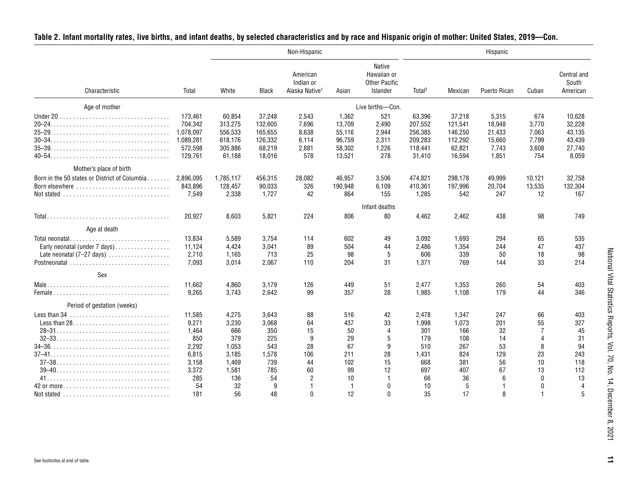|                                                                                                                                                                                                         |                                                                    |                                                              |                                                             | Non-Hispanic                                        |                                                         |                                                                  |                                                              |                                                             | Hispanic                                              |                                                |                                                         |
|---------------------------------------------------------------------------------------------------------------------------------------------------------------------------------------------------------|--------------------------------------------------------------------|--------------------------------------------------------------|-------------------------------------------------------------|-----------------------------------------------------|---------------------------------------------------------|------------------------------------------------------------------|--------------------------------------------------------------|-------------------------------------------------------------|-------------------------------------------------------|------------------------------------------------|---------------------------------------------------------|
| Characteristic                                                                                                                                                                                          | Total                                                              | White                                                        | <b>Black</b>                                                | American<br>Indian or<br>Alaska Native <sup>1</sup> | Asian                                                   | <b>Native</b><br>Hawaiian or<br><b>Other Pacific</b><br>Islander | Total <sup>2</sup>                                           | Mexican                                                     | Puerto Rican                                          | Cuban                                          | Central and<br>South<br>American                        |
| Age of mother                                                                                                                                                                                           |                                                                    |                                                              |                                                             |                                                     |                                                         | Live births-Con.                                                 |                                                              |                                                             |                                                       |                                                |                                                         |
|                                                                                                                                                                                                         | 173,461<br>704,342<br>1.078.097<br>1,089,281<br>572,598<br>129.761 | 60,854<br>313,275<br>556,533<br>618,176<br>305,886<br>61,188 | 37,248<br>132,605<br>165.655<br>126,332<br>68,219<br>18.016 | 2,543<br>7,696<br>8.638<br>6,114<br>2,881<br>578    | 1,362<br>13,709<br>55.116<br>96,759<br>58,302<br>13.521 | 521<br>2,490<br>2.944<br>2,311<br>1,226<br>278                   | 63,396<br>207,552<br>256.385<br>209,283<br>118.441<br>31,410 | 37,218<br>121,541<br>146.250<br>112,292<br>62,821<br>16.594 | 5,315<br>18.948<br>21.433<br>15,660<br>7,743<br>1,851 | 674<br>3,770<br>7.063<br>7,799<br>3,608<br>754 | 10,628<br>32,228<br>43.135<br>43,439<br>27,740<br>8,059 |
| Mother's place of birth                                                                                                                                                                                 |                                                                    |                                                              |                                                             |                                                     |                                                         |                                                                  |                                                              |                                                             |                                                       |                                                |                                                         |
| Born in the 50 states or District of Columbia<br>Born elsewhere $\ldots, \ldots, \ldots, \ldots, \ldots, \ldots, \ldots$<br>Not stated $\ldots \ldots \ldots \ldots \ldots \ldots \ldots \ldots \ldots$ | 2.896.095<br>843.896<br>7.549                                      | 1,785,117<br>128,457<br>2,338                                | 456,315<br>90,033<br>1,727                                  | 28,082<br>326<br>42                                 | 46,957<br>190.948<br>864                                | 3,506<br>6,109<br>155                                            | 474,821<br>410.361<br>1,285                                  | 298,178<br>197,996<br>542                                   | 49,999<br>20,704<br>247                               | 10,121<br>13,535<br>12                         | 32,758<br>132,304<br>167                                |
|                                                                                                                                                                                                         |                                                                    |                                                              |                                                             |                                                     |                                                         | Infant deaths                                                    |                                                              |                                                             |                                                       |                                                |                                                         |
|                                                                                                                                                                                                         | 20,927                                                             | 8,603                                                        | 5,821                                                       | 224                                                 | 806                                                     | 80                                                               | 4,462                                                        | 2,462                                                       | 438                                                   | 98                                             | 749                                                     |
| Age at death                                                                                                                                                                                            |                                                                    |                                                              |                                                             |                                                     |                                                         |                                                                  |                                                              |                                                             |                                                       |                                                |                                                         |
| Total neonatal<br>Early neonatal (under $7$ days)<br>Late neonatal $(7-27 \text{ days})$                                                                                                                | 13,834<br>11,124<br>2.710<br>7,093                                 | 5,589<br>4,424<br>1.165<br>3,014                             | 3,754<br>3,041<br>713<br>2,067                              | 114<br>89<br>25<br>110                              | 602<br>504<br>98<br>204                                 | 49<br>44<br>5<br>31                                              | 3,092<br>2,486<br>606<br>1,371                               | 1,693<br>1,354<br>339<br>769                                | 294<br>244<br>50<br>144                               | 65<br>47<br>18<br>33                           | 535<br>437<br>98<br>214                                 |
| Sex                                                                                                                                                                                                     |                                                                    |                                                              |                                                             |                                                     |                                                         |                                                                  |                                                              |                                                             |                                                       |                                                |                                                         |
|                                                                                                                                                                                                         | 11,662<br>9.265                                                    | 4,860<br>3.743                                               | 3,179<br>2,642                                              | 126<br>99                                           | 449<br>357                                              | 51<br>28                                                         | 2,477<br>1.985                                               | 1,353<br>1.108                                              | 260<br>179                                            | 54<br>44                                       | 403<br>346                                              |
| Period of gestation (weeks)                                                                                                                                                                             |                                                                    |                                                              |                                                             |                                                     |                                                         |                                                                  |                                                              |                                                             |                                                       |                                                |                                                         |
| Less than $34$                                                                                                                                                                                          | 11.585<br>9.271<br>1.464<br>850                                    | 4,275<br>3,230<br>666<br>379                                 | 3.643<br>3,068<br>350<br>225                                | 88<br>64<br>15<br>9                                 | 516<br>437<br>50<br>29                                  | 42<br>33<br>$\overline{4}$<br>5                                  | 2,478<br>1.998<br>301<br>179                                 | 1.347<br>1.073<br>166<br>108                                | 247<br>201<br>32<br>14                                | 66<br>55<br>7<br>$\overline{4}$                | 403<br>327<br>45<br>31                                  |
| $37-38$                                                                                                                                                                                                 | 2.292<br>6.815<br>3,158<br>3,372                                   | 1.053<br>3,185<br>1,469<br>1,581                             | 543<br>1,578<br>739<br>785                                  | 28<br>106<br>44<br>60                               | 67<br>211<br>102<br>99                                  | 9<br>28<br>15<br>12                                              | 510<br>1,431<br>668<br>697                                   | 267<br>824<br>381<br>407                                    | 53<br>129<br>56<br>67                                 | 8<br>23<br>10<br>13                            | 94<br>243<br>118<br>112                                 |
| 42 or more<br>Not stated $\ldots \ldots \ldots \ldots \ldots \ldots \ldots \ldots$                                                                                                                      | 285<br>54<br>181                                                   | 136<br>32<br>56                                              | 54<br>9<br>48                                               | $\overline{2}$<br>-1<br>$\Omega$                    | 10<br>$\mathbf{1}$<br>12                                | $\mathbf{0}$<br>$\mathbf{0}$                                     | 66<br>10<br>35                                               | 36<br>5<br>17                                               | 6<br>-1<br>8                                          | $\Omega$<br>$\mathbf{0}$<br>1                  | 13<br>$\overline{4}$<br>5                               |

# **Table 2. Infant mortality rates, live births, and infant deaths, by selected characteristics and by race and Hispanic origin of mother: United States, 2019—Con.**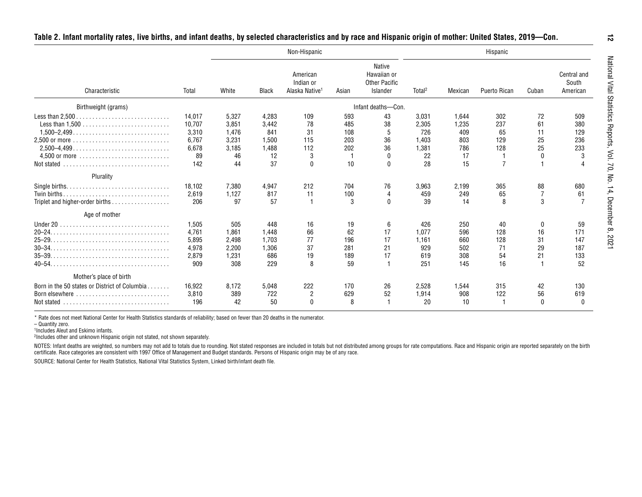|                                                                                                                          |                                                          |                                                       |                                                     | Non-Hispanic                                        |                                       |                                                                  |                                                     |                                                 | Hispanic                                         |                                      |                                      |
|--------------------------------------------------------------------------------------------------------------------------|----------------------------------------------------------|-------------------------------------------------------|-----------------------------------------------------|-----------------------------------------------------|---------------------------------------|------------------------------------------------------------------|-----------------------------------------------------|-------------------------------------------------|--------------------------------------------------|--------------------------------------|--------------------------------------|
| Characteristic                                                                                                           | Total                                                    | White                                                 | <b>Black</b>                                        | American<br>Indian or<br>Alaska Native <sup>1</sup> | Asian                                 | <b>Native</b><br>Hawaiian or<br><b>Other Pacific</b><br>Islander | Total <sup>2</sup>                                  | Mexican                                         | Puerto Rican                                     | Cuban                                | Central and<br>South<br>American     |
| Birthweight (grams)                                                                                                      |                                                          |                                                       |                                                     |                                                     |                                       | Infant deaths-Con.                                               |                                                     |                                                 |                                                  |                                      |                                      |
| Not stated                                                                                                               | 14,017<br>10,707<br>3,310<br>6,767<br>6,678<br>89<br>142 | 5,327<br>3.851<br>1,476<br>3,231<br>3,185<br>46<br>44 | 4,283<br>3,442<br>841<br>1,500<br>1,488<br>12<br>37 | 109<br>78<br>31<br>115<br>112<br>3<br>$\Omega$      | 593<br>485<br>108<br>203<br>202<br>10 | 43<br>38<br>36<br>36                                             | 3,031<br>2,305<br>726<br>1,403<br>1,381<br>22<br>28 | 1,644<br>1.235<br>409<br>803<br>786<br>17<br>15 | 302<br>237<br>65<br>129<br>128<br>$\overline{7}$ | 72<br>61<br>11<br>25<br>25           | 509<br>380<br>129<br>236<br>233<br>3 |
| Plurality                                                                                                                |                                                          |                                                       |                                                     |                                                     |                                       |                                                                  |                                                     |                                                 |                                                  |                                      |                                      |
| Twin births<br>Triplet and higher-order births                                                                           | 18,102<br>2,619<br>206                                   | 7,380<br>1,127<br>97                                  | 4,947<br>817<br>57                                  | 212<br>11                                           | 704<br>100<br>3                       | 76<br>4<br>U                                                     | 3,963<br>459<br>39                                  | 2,199<br>249<br>14                              | 365<br>65<br>8                                   | 88<br>3                              | 680<br>61<br>$\overline{7}$          |
| Age of mother                                                                                                            |                                                          |                                                       |                                                     |                                                     |                                       |                                                                  |                                                     |                                                 |                                                  |                                      |                                      |
|                                                                                                                          | 1,505<br>4,761<br>5,895<br>4.978<br>2,879<br>909         | 505<br>1,861<br>2,498<br>2,200<br>1,231<br>308        | 448<br>1,448<br>1,703<br>1,306<br>686<br>229        | 16<br>66<br>77<br>37<br>19<br>8                     | 19<br>62<br>196<br>281<br>189<br>59   | 6<br>17<br>17<br>21<br>17                                        | 426<br>1,077<br>1,161<br>929<br>619<br>251          | 250<br>596<br>660<br>502<br>308<br>145          | 40<br>128<br>128<br>71<br>54<br>16               | $\mathbf{0}$<br>16<br>31<br>29<br>21 | 59<br>171<br>147<br>187<br>133<br>52 |
| Mother's place of birth                                                                                                  |                                                          |                                                       |                                                     |                                                     |                                       |                                                                  |                                                     |                                                 |                                                  |                                      |                                      |
| Born in the 50 states or District of Columbia<br>Born elsewhere $\ldots, \ldots, \ldots, \ldots, \ldots, \ldots, \ldots$ | 16,922<br>3,810<br>196                                   | 8,172<br>389<br>42                                    | 5,048<br>722<br>50                                  | 222<br>2<br>$\Omega$                                | 170<br>629<br>8                       | 26<br>52                                                         | 2,528<br>1,914<br>20                                | 1,544<br>908<br>10                              | 315<br>122                                       | 42<br>56<br>$\Omega$                 | 130<br>619                           |

\* Rate does not meet National Center for Health Statistics standards of reliability; based on fewer than 20 deaths in the numerator.

1Includes Aleut and Eskimo infants.

<sup>2</sup>Includes other and unknown Hispanic origin not stated, not shown separately.

NOTES: Infant deaths are weighted, so numbers may not add to totals due to rounding. Not stated responses are included in totals but not distributed among groups for rate computations. Race and Hispanic origin are reported certificate. Race categories are consistent with 1997 Office of Management and Budget standards. Persons of Hispanic origin may be of any race.

<sup>–</sup> Quantity zero.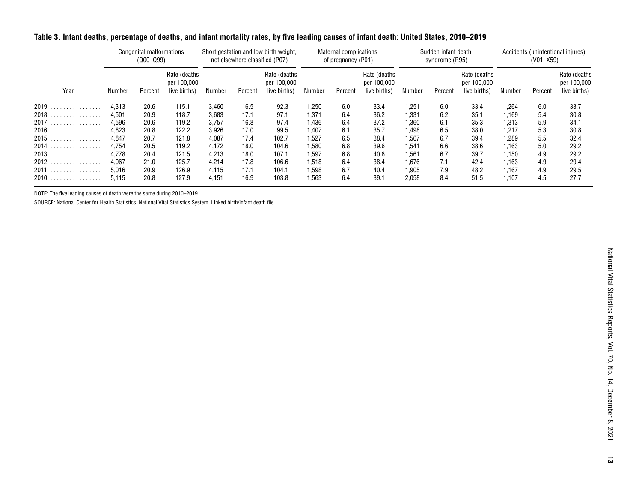|                       | Congenital malformations<br>$(000 - 099)$ |         |                                             | Short gestation and low birth weight,<br>not elsewhere classified (P07) |         |                                             | Maternal complications<br>of pregnancy (P01) |         |                                             | Sudden infant death<br>syndrome (R95) |         |                                             | Accidents (unintentional injures)<br>$(V01 - X59)$ |         |                                             |
|-----------------------|-------------------------------------------|---------|---------------------------------------------|-------------------------------------------------------------------------|---------|---------------------------------------------|----------------------------------------------|---------|---------------------------------------------|---------------------------------------|---------|---------------------------------------------|----------------------------------------------------|---------|---------------------------------------------|
| Year                  | Number                                    | Percent | Rate (deaths<br>per 100,000<br>live births) | Number                                                                  | Percent | Rate (deaths<br>per 100,000<br>live births) | Number                                       | Percent | Rate (deaths<br>per 100,000<br>live births) | Number                                | Percent | Rate (deaths<br>per 100,000<br>live births) | Number                                             | Percent | Rate (deaths<br>per 100,000<br>live births) |
| 2019.                 | 4,313                                     | 20.6    | 115.1                                       | 3,460                                                                   | 16.5    | 92.3                                        | 1,250                                        | 6.0     | 33.4                                        | 1,251                                 | 6.0     | 33.4                                        | 1,264                                              | 6.0     | 33.7                                        |
| 2018.<br>.            | 4.501                                     | 20.9    | 118.7                                       | 3,683                                                                   | 17.1    | 97.1                                        | 1.371                                        | 6.4     | 36.2                                        | 1.331                                 | 6.2     | 35.1                                        | 1.169                                              | 5.4     | 30.8                                        |
| 2017.                 | 4.596                                     | 20.6    | 119.2                                       | 3.757                                                                   | 16.8    | 97.4                                        | 1.436                                        | 6.4     | 37.2                                        | 1,360                                 | 6.1     | 35.3                                        | 1,313                                              | 5.9     | 34.1                                        |
| $2016.$ .<br>.        | 4.823                                     | 20.8    | 122.2                                       | 3.926                                                                   | 17.0    | 99.5                                        | 1.407                                        | 6.1     | 35.7                                        | 1.498                                 | 6.5     | 38.0                                        | 1.217                                              | 5.3     | 30.8                                        |
| 2015.<br>.            | 4.847                                     | 20.7    | 121.8                                       | 4,087                                                                   | 17.4    | 102.7                                       | 1.527                                        | 6.5     | 38.4                                        | 1.567                                 | 6.7     | 39.4                                        | 1,289                                              | 5.5     | 32.4                                        |
| 2014.<br>.            | 4.754                                     | 20.5    | 119.2                                       | 4.172                                                                   | 18.0    | 104.6                                       | 1.580                                        | 6.8     | 39.6                                        | 1.541                                 | 6.6     | 38.6                                        | 1.163                                              | 5.0     | 29.2                                        |
| 2013.<br>. <b>.</b> . | 4.778                                     | 20.4    | 121.5                                       | 4.213                                                                   | 18.0    | 107.1                                       | 1.597                                        | 6.8     | 40.6                                        | 1.561                                 | 6.7     | 39.7                                        | 1,150                                              | 4.9     | 29.2                                        |
| 2012.<br>.            | 4.967                                     | 21.0    | 125.7                                       | 4,214                                                                   | 17.8    | 106.6                                       | 1.518                                        | 6.4     | 38.4                                        | 1.676                                 |         | 42.4                                        | 1,163                                              | 4.9     | 29.4                                        |
| 2011.<br>.            | 5.016                                     | 20.9    | 126.9                                       | 4.115                                                                   | 17.1    | 104.1                                       | 1.598                                        | 6.7     | 40.4                                        | 1.905                                 | 7.9     | 48.2                                        | 1,167                                              | 4.9     | 29.5                                        |
| 2010.                 | 5,115                                     | 20.8    | 127.9                                       | 4,151                                                                   | 16.9    | 103.8                                       | 563.                                         | 6.4     | 39.1                                        | 2,058                                 | 8.4     | 51.5                                        | 1,107                                              | 4.5     | 27.7                                        |

# <span id="page-12-0"></span>**Table 3. Infant deaths, percentage of deaths, and infant mortality rates, by five leading causes of infant death: United States, 2010–2019**

NOTE: The five leading causes of death were the same during 2010–2019.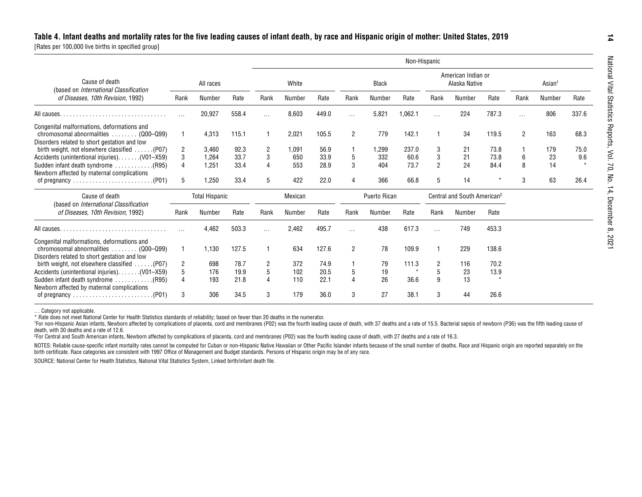<span id="page-13-0"></span>

|                                                                                                                                    |                |                       |       |                |         |       |                |              | Non-Hispanic |                |                                         |         |                    |        |       |
|------------------------------------------------------------------------------------------------------------------------------------|----------------|-----------------------|-------|----------------|---------|-------|----------------|--------------|--------------|----------------|-----------------------------------------|---------|--------------------|--------|-------|
| Cause of death<br>(based on International Classification                                                                           |                | All races             |       | White          |         |       |                | <b>Black</b> |              |                | American Indian or<br>Alaska Native     |         | Asian <sup>1</sup> |        |       |
| of Diseases, 10th Revision, 1992)                                                                                                  | Rank           | Number                | Rate  | Rank           | Number  | Rate  | Rank           | Number       | Rate         | Rank           | Number                                  | Rate    | Rank               | Number | Rate  |
|                                                                                                                                    |                | 20,927                | 558.4 | $\cdots$       | 8,603   | 449.0 | $\cdots$       | 5,821        | 1,062.1      | $\cdots$       | 224                                     | 787.3   | $\cdots$           | 806    | 337.6 |
| Congenital malformations, deformations and<br>chromosomal abnormalities  (Q00-Q99)<br>Disorders related to short gestation and low |                | 4,313                 | 115.1 |                | 2,021   | 105.5 | $\overline{2}$ | 779          | 142.1        | 1              | 34                                      | 119.5   | $\overline{2}$     | 163    | 68.3  |
| birth weight, not elsewhere classified  (P07)                                                                                      | $\overline{2}$ | 3,460                 | 92.3  | 2              | 1,091   | 56.9  |                | 1,299        | 237.0        | 3              | 21                                      | 73.8    |                    | 179    | 75.0  |
| Accidents (unintentional injuries). (V01-X59)                                                                                      | 3              | 1,264                 | 33.7  | 3              | 650     | 33.9  | 5              | 332          | 60.6         | 3              | 21                                      | 73.8    | 6                  | 23     | 9.6   |
| (R95). Sudden infant death syndrome<br>Newborn affected by maternal complications                                                  |                | 1,251                 | 33.4  | 4              | 553     | 28.9  | 3              | 404          | 73.7         | $\overline{2}$ | 24                                      | 84.4    | 8                  | 14     |       |
| of pregnancy $\ldots \ldots \ldots \ldots \ldots \ldots \ldots (P01)$                                                              | 5              | 1,250                 | 33.4  | 5              | 422     | 22.0  | 4              | 366          | 66.8         | 5              | 14                                      |         | 3                  | 63     | 26.4  |
| Cause of death                                                                                                                     |                | <b>Total Hispanic</b> |       |                | Mexican |       |                | Puerto Rican |              |                | Central and South American <sup>2</sup> |         |                    |        |       |
| (based on International Classification<br>of Diseases, 10th Revision, 1992)                                                        | Rank           | Number                | Rate  | Rank           | Number  | Rate  | Rank           | Number       | Rate         | Rank           | Number                                  | Rate    |                    |        |       |
|                                                                                                                                    |                | 4.462                 | 503.3 | $\cdots$       | 2.462   | 495.7 | $\cdots$       | 438          | 617.3        | $\cdots$       | 749                                     | 453.3   |                    |        |       |
| Congenital malformations, deformations and<br>chromosomal abnormalities  (Q00-Q99)<br>Disorders related to short gestation and low |                | 1,130                 | 127.5 |                | 634     | 127.6 | 2              | 78           | 109.9        | 1              | 229                                     | 138.6   |                    |        |       |
| birth weight, not elsewhere classified $\ldots$ . (P07)                                                                            | 2              | 698                   | 78.7  | $\overline{2}$ | 372     | 74.9  |                | 79           | 111.3        | 2              | 116                                     | 70.2    |                    |        |       |
| Accidents (unintentional injuries). (V01-X59)                                                                                      | 5              | 176                   | 19.9  | 5              | 102     | 20.5  | 5              | 19           |              | 5              | 23                                      | 13.9    |                    |        |       |
| (R95). Sudden infant death syndrome<br>Newborn affected by maternal complications                                                  |                | 193                   | 21.8  | $\overline{4}$ | 110     | 22.1  |                | 26           | 36.6         | 9              | 13                                      | $\star$ |                    |        |       |
| of pregnancy $\ldots \ldots \ldots \ldots \ldots \ldots \ldots (P01)$                                                              | 3              | 306                   | 34.5  | 3              | 179     | 36.0  | 3              | 27           | 38.1         | 3              | 44                                      | 26.6    |                    |        |       |

… Category not applicable.

\* Rate does not meet National Center for Health Statistics standards of reliability; based on fewer than 20 deaths in the numerator.

<sup>1</sup>For non-Hispanic Asian infants, Newborn affected by complications of placenta, cord and membranes (P02) was the fourth leading cause of death, with 37 deaths and a rate of 15.5. Bacterial sepsis of newborn (P36) was the death, with 30 deaths and a rate of 12.6.

2For Central and South American infants, Newborn affected by complications of placenta, cord and membranes (P02) was the fourth leading cause of death, with 27 deaths and a rate of 16.3.

NOTES: Reliable cause-specific infant mortality rates cannot be computed for Cuban or non-Hispanic Native Hawaiian or Other Pacific Islander infants because of the small number of deaths. Race and Hispanic origin are repor birth certificate. Race categories are consistent with 1997 Office of Management and Budget standards. Persons of Hispanic origin may be of any race.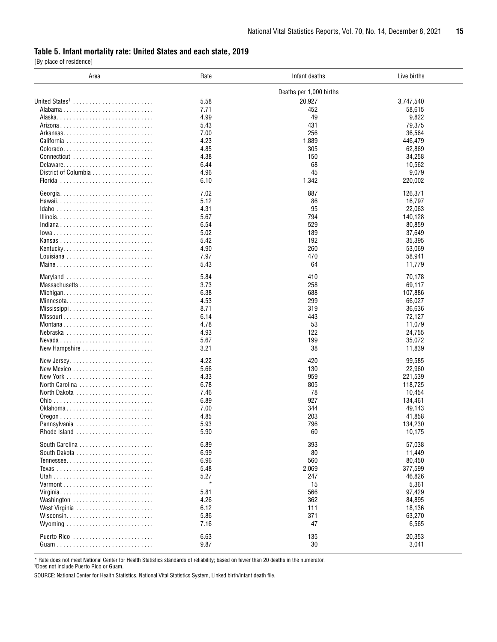### <span id="page-14-0"></span>**Table 5. Infant mortality rate: United States and each state, 2019**

[By place of residence]

| Area                       | Rate | Infant deaths           | Live births |
|----------------------------|------|-------------------------|-------------|
|                            |      | Deaths per 1,000 births |             |
| United States <sup>1</sup> | 5.58 | 20,927                  | 3,747,540   |
|                            | 7.71 | 452                     | 58,615      |
|                            | 4.99 | 49                      | 9,822       |
|                            |      |                         |             |
|                            | 5.43 | 431                     | 79,375      |
|                            | 7.00 | 256                     | 36,564      |
|                            | 4.23 | 1,889                   | 446,479     |
|                            | 4.85 | 305                     | 62,869      |
|                            | 4.38 | 150                     | 34,258      |
|                            | 6.44 | 68                      | 10,562      |
|                            | 4.96 | 45                      | 9,079       |
|                            | 6.10 | 1,342                   | 220,002     |
|                            | 7.02 | 887                     | 126,371     |
|                            | 5.12 | 86                      | 16,797      |
|                            |      |                         |             |
|                            | 4.31 | 95                      | 22,063      |
|                            | 5.67 | 794                     | 140,128     |
|                            | 6.54 | 529                     | 80,859      |
| lowa                       | 5.02 | 189                     | 37,649      |
|                            | 5.42 | 192                     | 35,395      |
|                            | 4.90 | 260                     | 53,069      |
|                            | 7.97 | 470                     | 58,941      |
|                            | 5.43 | 64                      | 11,779      |
| Maryland                   | 5.84 | 410                     | 70,178      |
|                            | 3.73 | 258                     | 69,117      |
|                            |      |                         |             |
|                            | 6.38 | 688                     | 107,886     |
|                            | 4.53 | 299                     | 66,027      |
|                            | 8.71 | 319                     | 36,636      |
|                            | 6.14 | 443                     | 72,127      |
|                            | 4.78 | 53                      | 11,079      |
| Nebraska                   | 4.93 | 122                     | 24,755      |
|                            | 5.67 | 199                     | 35,072      |
| New Hampshire              | 3.21 | 38                      | 11,839      |
| New Jersey                 | 4.22 | 420                     | 99,585      |
|                            |      |                         |             |
|                            | 5.66 | 130                     | 22,960      |
|                            | 4.33 | 959                     | 221,539     |
| North Carolina             | 6.78 | 805                     | 118,725     |
|                            | 7.46 | 78                      | 10,454      |
|                            | 6.89 | 927                     | 134,461     |
| 0klahoma                   | 7.00 | 344                     | 49,143      |
|                            | 4.85 | 203                     | 41,858      |
| Pennsylvania               | 5.93 | 796                     | 134,230     |
|                            | 5.90 | 60                      | 10,175      |
|                            | 6.89 | 393                     | 57,038      |
|                            |      |                         |             |
|                            | 6.99 | 80                      | 11,449      |
| Tennessee                  | 6.96 | 560                     | 80,450      |
|                            | 5.48 | 2,069                   | 377,599     |
|                            | 5.27 | 247                     | 46,826      |
|                            |      | 15                      | 5,361       |
| Virginia                   | 5.81 | 566                     | 97,429      |
| Washington                 | 4.26 | 362                     | 84,895      |
|                            | 6.12 | 111                     | 18,136      |
|                            | 5.86 | 371                     | 63,270      |
|                            | 7.16 | 47                      | 6,565       |
|                            |      |                         |             |
|                            | 6.63 | 135                     | 20,353      |
|                            | 9.87 | 30                      | 3,041       |

\* Rate does not meet National Center for Health Statistics standards of reliability; based on fewer than 20 deaths in the numerator. 1 Does not include Puerto Rico or Guam.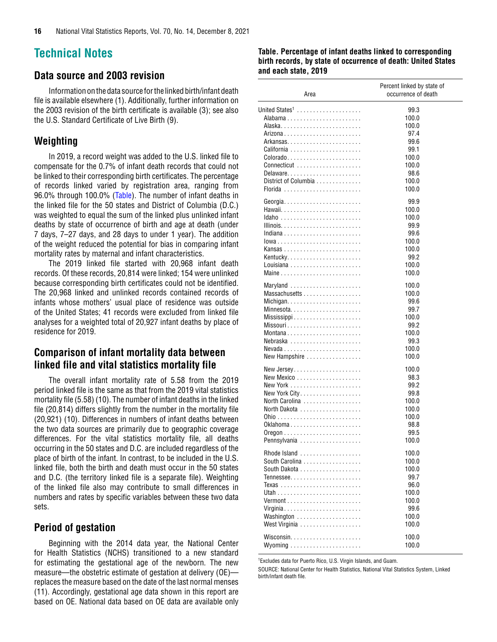# <span id="page-15-0"></span>**Technical Notes**

# **Data source and 2003 revision**

Information on the data source for the linked birth/infant death file is available elsewhere (1). Additionally, further information on the 2003 revision of the birth certificate is available (3); see also the U.S. Standard Certificate of Live Birth (9).

### **Weighting**

In 2019, a record weight was added to the U.S. linked file to compensate for the 0.7% of infant death records that could not be linked to their corresponding birth certificates. The percentage of records linked varied by registration area, ranging from 96.0% through 100.0% (Table). The number of infant deaths in the linked file for the 50 states and District of Columbia (D.C.) was weighted to equal the sum of the linked plus unlinked infant deaths by state of occurrence of birth and age at death (under 7 days, 7–27 days, and 28 days to under 1 year). The addition of the weight reduced the potential for bias in comparing infant mortality rates by maternal and infant characteristics.

The 2019 linked file started with 20,968 infant death records. Of these records, 20,814 were linked; 154 were unlinked because corresponding birth certificates could not be identified. The 20,968 linked and unlinked records contained records of infants whose mothers' usual place of residence was outside of the United States; 41 records were excluded from linked file analyses for a weighted total of 20,927 infant deaths by place of residence for 2019.

# **Comparison of infant mortality data between linked file and vital statistics mortality file**

The overall infant mortality rate of 5.58 from the 2019 period linked file is the same as that from the 2019 vital statistics mortality file (5.58) (10). The number of infant deaths in the linked file (20,814) differs slightly from the number in the mortality file (20,921) (10). Differences in numbers of infant deaths between the two data sources are primarily due to geographic coverage differences. For the vital statistics mortality file, all deaths occurring in the 50 states and D.C. are included regardless of the place of birth of the infant. In contrast, to be included in the U.S. linked file, both the birth and death must occur in the 50 states and D.C. (the territory linked file is a separate file). Weighting of the linked file also may contribute to small differences in numbers and rates by specific variables between these two data sets.

# **Period of gestation**

Beginning with the 2014 data year, the National Center for Health Statistics (NCHS) transitioned to a new standard for estimating the gestational age of the newborn. The new measure—the obstetric estimate of gestation at delivery (OE) replaces the measure based on the date of the last normal menses (11). Accordingly, gestational age data shown in this report are based on OE. National data based on OE data are available only

#### **Table. Percentage of infant deaths linked to corresponding birth records, by state of occurrence of death: United States and each state, 2019**

| Area                                                 | Percent linked by state of<br>occurrence of death |
|------------------------------------------------------|---------------------------------------------------|
| United States <sup>1</sup>                           | 99.3                                              |
|                                                      | 100.0                                             |
|                                                      | 100.0                                             |
|                                                      | 97.4                                              |
|                                                      | 99.6                                              |
|                                                      | 99.1                                              |
| Colorado                                             | 100.0                                             |
| Connecticut                                          | 100.0                                             |
| Delaware                                             | 98.6                                              |
| District of Columbia                                 | 100.0                                             |
| Florida                                              | 100.0                                             |
| Georgia                                              | 99.9                                              |
|                                                      | 100.0                                             |
|                                                      | 100.0                                             |
|                                                      | 99.9                                              |
| Indiana                                              | 99.6                                              |
| lowa                                                 | 100.0                                             |
|                                                      | 100.0                                             |
|                                                      | 99.2                                              |
|                                                      | 100.0                                             |
| Maine                                                | 100.0                                             |
|                                                      |                                                   |
| Maryland                                             | 100.0                                             |
| Massachusetts                                        | 100.0                                             |
|                                                      | 99.6                                              |
| Minnesota                                            | 99.7                                              |
|                                                      | 100.0                                             |
|                                                      | 99.2                                              |
| Montana                                              | 100.0                                             |
| Nebraska $\ldots \ldots \ldots \ldots \ldots \ldots$ | 99.3                                              |
|                                                      | 100.0                                             |
| New Hampshire                                        | 100.0                                             |
| New Jersey                                           | 100.0                                             |
|                                                      | 98.3                                              |
|                                                      | 99.2                                              |
| New York City.                                       | 99.8                                              |
| North Carolina                                       | 100.0                                             |
| North Dakota                                         | 100.0                                             |
|                                                      | 100.0                                             |
|                                                      | 98.8                                              |
|                                                      | 99.5                                              |
| Pennsylvania                                         | 100.0                                             |
|                                                      |                                                   |
| Rhode Island                                         | 100.0                                             |
| South Carolina                                       | 100.0                                             |
|                                                      | 100.0                                             |
| Tennessee                                            | 99.7                                              |
|                                                      | 96.0                                              |
|                                                      | 100.0                                             |
|                                                      | 100.0                                             |
| Virginia                                             | 99.6                                              |
| Washington                                           | 100.0                                             |
| West Virginia                                        | 100.0                                             |
|                                                      | 100.0                                             |
|                                                      | 100.0                                             |
|                                                      |                                                   |

1 Excludes data for Puerto Rico, U.S. Virgin Islands, and Guam.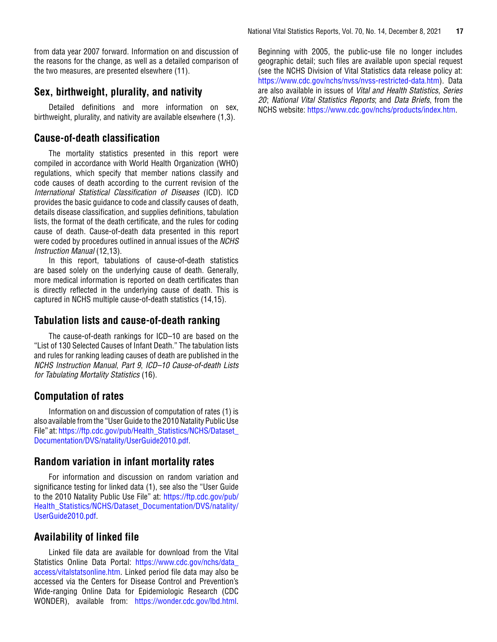from data year 2007 forward. Information on and discussion of the reasons for the change, as well as a detailed comparison of the two measures, are presented elsewhere (11).

# **Sex, birthweight, plurality, and nativity**

Detailed definitions and more information on sex, birthweight, plurality, and nativity are available elsewhere (1,3).

# **Cause-of-death classification**

The mortality statistics presented in this report were compiled in accordance with World Health Organization (WHO) regulations, which specify that member nations classify and code causes of death according to the current revision of the *International Statistical Classification of Diseases* (ICD). ICD provides the basic guidance to code and classify causes of death, details disease classification, and supplies definitions, tabulation lists, the format of the death certificate, and the rules for coding cause of death. Cause-of-death data presented in this report were coded by procedures outlined in annual issues of the *NCHS Instruction Manual* (12,13).

In this report, tabulations of cause-of-death statistics are based solely on the underlying cause of death. Generally, more medical information is reported on death certificates than is directly reflected in the underlying cause of death. This is captured in NCHS multiple cause-of-death statistics (14,15).

# **Tabulation lists and cause-of-death ranking**

The cause-of-death rankings for ICD–10 are based on the "List of 130 Selected Causes of Infant Death." The tabulation lists and rules for ranking leading causes of death are published in the *NCHS Instruction Manual*, *Part 9*, *ICD–10 Cause-of-death Lists for Tabulating Mortality Statistics* (16).

# **Computation of rates**

Information on and discussion of computation of rates (1) is also available from the "User Guide to the 2010 Natality Public Use File" at[: https://ftp.cdc.gov/pub/Health\\_Statistics/NCHS/Dataset\\_](https://ftp.cdc.gov/pub/Health_Statistics/NCHS/Dataset_Documentation/DVS/natality/UserGuide2010.pdf) [Documentation/DVS/natality/UserGuide2010.pdf](https://ftp.cdc.gov/pub/Health_Statistics/NCHS/Dataset_Documentation/DVS/natality/UserGuide2010.pdf).

# **Random variation in infant mortality rates**

For information and discussion on random variation and significance testing for linked data (1), see also the "User Guide to the 2010 Natality Public Use File" at: [https://ftp.cdc.gov/pub/](https://ftp.cdc.gov/pub/Health_Statistics/NCHS/Dataset_Documentation/DVS/natality/UserGuide2010.pdf) [Health\\_Statistics/NCHS/Dataset\\_Documentation/DVS/natality/](https://ftp.cdc.gov/pub/Health_Statistics/NCHS/Dataset_Documentation/DVS/natality/UserGuide2010.pdf) [UserGuide2010.pdf](https://ftp.cdc.gov/pub/Health_Statistics/NCHS/Dataset_Documentation/DVS/natality/UserGuide2010.pdf).

# **Availability of linked file**

Linked file data are available for download from the Vital Statistics Online Data Portal: [https://www.cdc.gov/nchs/data\\_](https://www.cdc.gov/nchs/data_access/vitalstatsonline.htm) [access/vitalstatsonline.htm](https://www.cdc.gov/nchs/data_access/vitalstatsonline.htm). Linked period file data may also be accessed via the Centers for Disease Control and Prevention's Wide-ranging Online Data for Epidemiologic Research (CDC WONDER), available from: [https://wonder.cdc.gov/lbd.html.](https://wonder.cdc.gov/lbd.html)

Beginning with 2005, the public-use file no longer includes geographic detail; such files are available upon special request (see the NCHS Division of Vital Statistics data release policy at: <https://www.cdc.gov/nchs/nvss/nvss-restricted-data.htm>). Data are also available in issues of *Vital and Health Statistics*, *Series 20*; *National Vital Statistics Reports*; and *Data Briefs*, from the NCHS website: <https://www.cdc.gov/nchs/products/index.htm>.